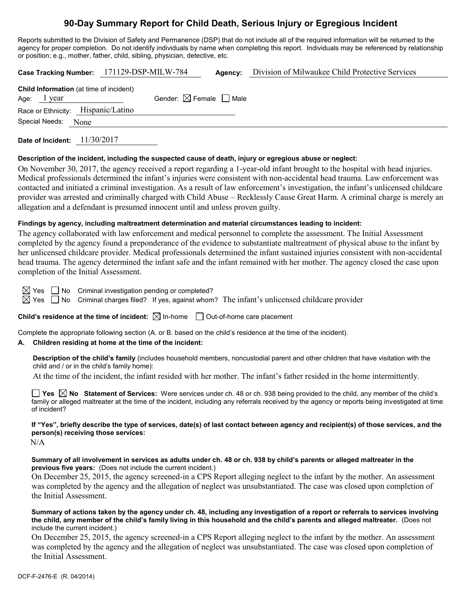# **90-Day Summary Report for Child Death, Serious Injury or Egregious Incident**

Reports submitted to the Division of Safety and Permanence (DSP) that do not include all of the required information will be returned to the agency for proper completion. Do not identify individuals by name when completing this report. Individuals may be referenced by relationship or position; e.g., mother, father, child, sibling, physician, detective, etc.

|                                                                 | Case Tracking Number: 171129-DSP-MILW-784 | Agency: | Division of Milwaukee Child Protective Services |
|-----------------------------------------------------------------|-------------------------------------------|---------|-------------------------------------------------|
| <b>Child Information</b> (at time of incident)<br>Age: $1$ year | Gender: $\boxtimes$ Female $\Box$ Male    |         |                                                 |
| Race or Ethnicity: Hispanic/Latino                              |                                           |         |                                                 |
| Special Needs:<br>None                                          |                                           |         |                                                 |
|                                                                 |                                           |         |                                                 |

**Date of Incident:** 11/30/2017

### **Description of the incident, including the suspected cause of death, injury or egregious abuse or neglect:**

On November 30, 2017, the agency received a report regarding a 1-year-old infant brought to the hospital with head injuries. Medical professionals determined the infant's injuries were consistent with non-accidental head trauma. Law enforcement was contacted and initiated a criminal investigation. As a result of law enforcement's investigation, the infant's unlicensed childcare provider was arrested and criminally charged with Child Abuse – Recklessly Cause Great Harm. A criminal charge is merely an allegation and a defendant is presumed innocent until and unless proven guilty.

### **Findings by agency, including maltreatment determination and material circumstances leading to incident:**

The agency collaborated with law enforcement and medical personnel to complete the assessment. The Initial Assessment completed by the agency found a preponderance of the evidence to substantiate maltreatment of physical abuse to the infant by her unlicensed childcare provider. Medical professionals determined the infant sustained injuries consistent with non-accidental head trauma. The agency determined the infant safe and the infant remained with her mother. The agency closed the case upon completion of the Initial Assessment.

 $\boxtimes$  Yes  $\Box$  No Criminal investigation pending or completed?

 $\boxtimes$  Yes  $\Box$  No Criminal charges filed? If yes, against whom? The infant's unlicensed childcare provider

**Child's residence at the time of incident:**  $\boxtimes$  In-home  $\Box$  Out-of-home care placement

Complete the appropriate following section (A. or B. based on the child's residence at the time of the incident).

### **A. Children residing at home at the time of the incident:**

**Description of the child's family** (includes household members, noncustodial parent and other children that have visitation with the child and / or in the child's family home):

At the time of the incident, the infant resided with her mother. The infant's father resided in the home intermittently.

**Yes No Statement of Services:** Were services under ch. 48 or ch. 938 being provided to the child, any member of the child's family or alleged maltreater at the time of the incident, including any referrals received by the agency or reports being investigated at time of incident?

**If "Yes", briefly describe the type of services, date(s) of last contact between agency and recipient(s) of those services, and the person(s) receiving those services:**

N/A

**Summary of all involvement in services as adults under ch. 48 or ch. 938 by child's parents or alleged maltreater in the previous five years:** (Does not include the current incident.)

On December 25, 2015, the agency screened-in a CPS Report alleging neglect to the infant by the mother. An assessment was completed by the agency and the allegation of neglect was unsubstantiated. The case was closed upon completion of the Initial Assessment.

**Summary of actions taken by the agency under ch. 48, including any investigation of a report or referrals to services involving the child, any member of the child's family living in this household and the child's parents and alleged maltreater.** (Does not include the current incident.)

On December 25, 2015, the agency screened-in a CPS Report alleging neglect to the infant by the mother. An assessment was completed by the agency and the allegation of neglect was unsubstantiated. The case was closed upon completion of the Initial Assessment.